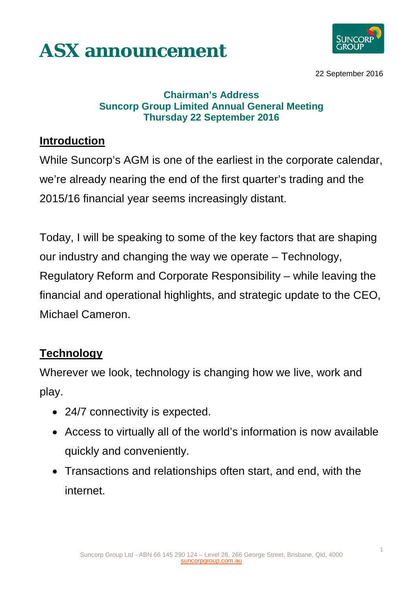



22 September 2016

#### **Chairman's Address Suncorp Group Limited Annual General Meeting Thursday 22 September 2016**

#### **Introduction**

While Suncorp's AGM is one of the earliest in the corporate calendar, we're already nearing the end of the first quarter's trading and the 2015/16 financial year seems increasingly distant.

Today, I will be speaking to some of the key factors that are shaping our industry and changing the way we operate – Technology, Regulatory Reform and Corporate Responsibility – while leaving the financial and operational highlights, and strategic update to the CEO, Michael Cameron.

# **Technology**

Wherever we look, technology is changing how we live, work and play.

- 24/7 connectivity is expected.
- Access to virtually all of the world's information is now available quickly and conveniently.
- Transactions and relationships often start, and end, with the internet.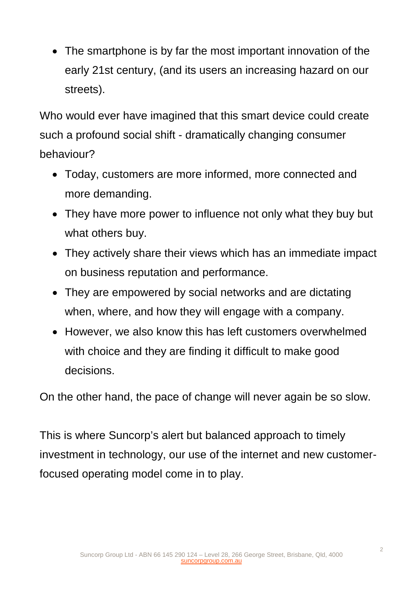• The smartphone is by far the most important innovation of the early 21st century, (and its users an increasing hazard on our streets).

Who would ever have imagined that this smart device could create such a profound social shift - dramatically changing consumer behaviour?

- Today, customers are more informed, more connected and more demanding.
- They have more power to influence not only what they buy but what others buy.
- They actively share their views which has an immediate impact on business reputation and performance.
- They are empowered by social networks and are dictating when, where, and how they will engage with a company.
- However, we also know this has left customers overwhelmed with choice and they are finding it difficult to make good decisions.

On the other hand, the pace of change will never again be so slow.

This is where Suncorp's alert but balanced approach to timely investment in technology, our use of the internet and new customerfocused operating model come in to play.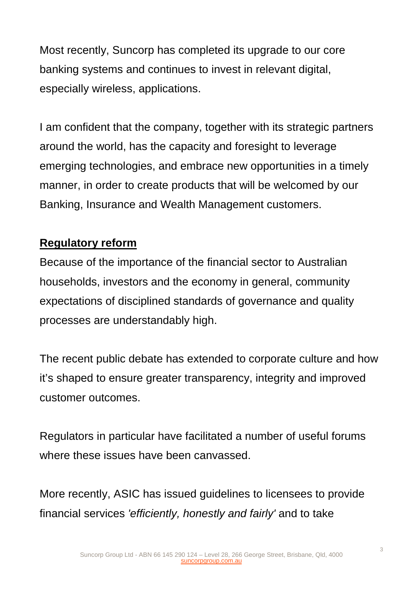Most recently, Suncorp has completed its upgrade to our core banking systems and continues to invest in relevant digital, especially wireless, applications.

I am confident that the company, together with its strategic partners around the world, has the capacity and foresight to leverage emerging technologies, and embrace new opportunities in a timely manner, in order to create products that will be welcomed by our Banking, Insurance and Wealth Management customers.

# **Regulatory reform**

Because of the importance of the financial sector to Australian households, investors and the economy in general, community expectations of disciplined standards of governance and quality processes are understandably high.

The recent public debate has extended to corporate culture and how it's shaped to ensure greater transparency, integrity and improved customer outcomes.

Regulators in particular have facilitated a number of useful forums where these issues have been canvassed.

More recently, ASIC has issued guidelines to licensees to provide financial services *'efficiently, honestly and fairly'* and to take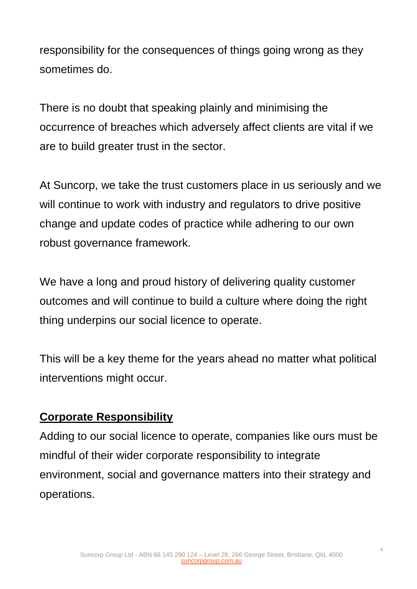responsibility for the consequences of things going wrong as they sometimes do.

There is no doubt that speaking plainly and minimising the occurrence of breaches which adversely affect clients are vital if we are to build greater trust in the sector.

At Suncorp, we take the trust customers place in us seriously and we will continue to work with industry and regulators to drive positive change and update codes of practice while adhering to our own robust governance framework.

We have a long and proud history of delivering quality customer outcomes and will continue to build a culture where doing the right thing underpins our social licence to operate.

This will be a key theme for the years ahead no matter what political interventions might occur.

# **Corporate Responsibility**

Adding to our social licence to operate, companies like ours must be mindful of their wider corporate responsibility to integrate environment, social and governance matters into their strategy and operations.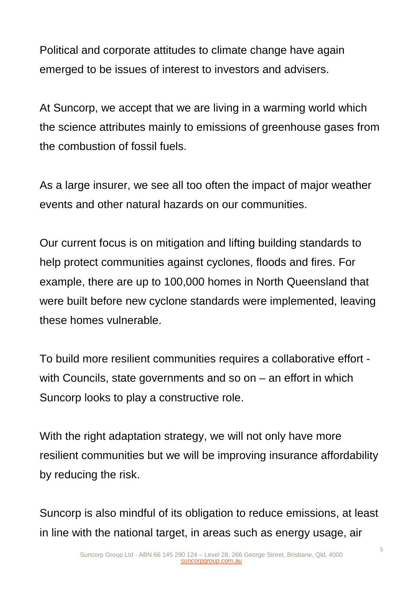Political and corporate attitudes to climate change have again emerged to be issues of interest to investors and advisers.

At Suncorp, we accept that we are living in a warming world which the science attributes mainly to emissions of greenhouse gases from the combustion of fossil fuels.

As a large insurer, we see all too often the impact of major weather events and other natural hazards on our communities.

Our current focus is on mitigation and lifting building standards to help protect communities against cyclones, floods and fires. For example, there are up to 100,000 homes in North Queensland that were built before new cyclone standards were implemented, leaving these homes vulnerable.

To build more resilient communities requires a collaborative effort with Councils, state governments and so on – an effort in which Suncorp looks to play a constructive role.

With the right adaptation strategy, we will not only have more resilient communities but we will be improving insurance affordability by reducing the risk.

Suncorp is also mindful of its obligation to reduce emissions, at least in line with the national target, in areas such as energy usage, air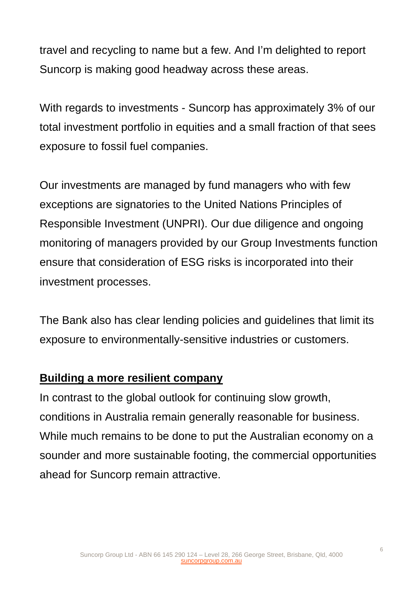travel and recycling to name but a few. And I'm delighted to report Suncorp is making good headway across these areas.

With regards to investments - Suncorp has approximately 3% of our total investment portfolio in equities and a small fraction of that sees exposure to fossil fuel companies.

Our investments are managed by fund managers who with few exceptions are signatories to the United Nations Principles of Responsible Investment (UNPRI). Our due diligence and ongoing monitoring of managers provided by our Group Investments function ensure that consideration of ESG risks is incorporated into their investment processes.

The Bank also has clear lending policies and guidelines that limit its exposure to environmentally-sensitive industries or customers.

# **Building a more resilient company**

In contrast to the global outlook for continuing slow growth, conditions in Australia remain generally reasonable for business. While much remains to be done to put the Australian economy on a sounder and more sustainable footing, the commercial opportunities ahead for Suncorp remain attractive.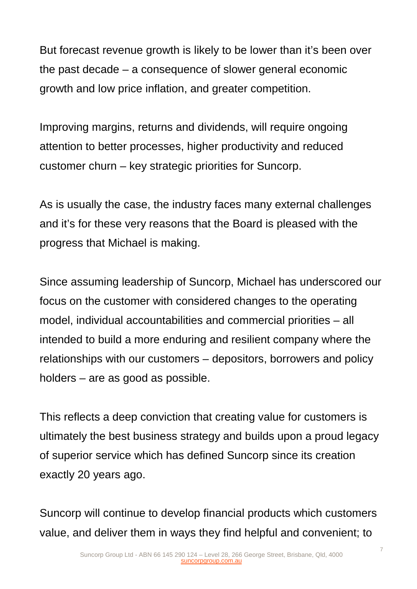But forecast revenue growth is likely to be lower than it's been over the past decade – a consequence of slower general economic growth and low price inflation, and greater competition.

Improving margins, returns and dividends, will require ongoing attention to better processes, higher productivity and reduced customer churn – key strategic priorities for Suncorp.

As is usually the case, the industry faces many external challenges and it's for these very reasons that the Board is pleased with the progress that Michael is making.

Since assuming leadership of Suncorp, Michael has underscored our focus on the customer with considered changes to the operating model, individual accountabilities and commercial priorities – all intended to build a more enduring and resilient company where the relationships with our customers – depositors, borrowers and policy holders – are as good as possible.

This reflects a deep conviction that creating value for customers is ultimately the best business strategy and builds upon a proud legacy of superior service which has defined Suncorp since its creation exactly 20 years ago.

Suncorp will continue to develop financial products which customers value, and deliver them in ways they find helpful and convenient; to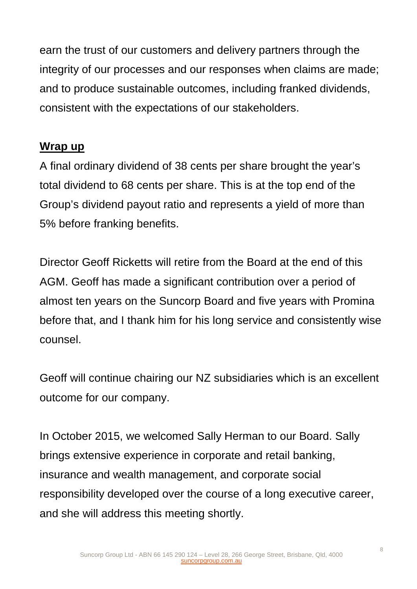earn the trust of our customers and delivery partners through the integrity of our processes and our responses when claims are made; and to produce sustainable outcomes, including franked dividends, consistent with the expectations of our stakeholders.

# **Wrap up**

A final ordinary dividend of 38 cents per share brought the year's total dividend to 68 cents per share. This is at the top end of the Group's dividend payout ratio and represents a yield of more than 5% before franking benefits.

Director Geoff Ricketts will retire from the Board at the end of this AGM. Geoff has made a significant contribution over a period of almost ten years on the Suncorp Board and five years with Promina before that, and I thank him for his long service and consistently wise counsel.

Geoff will continue chairing our NZ subsidiaries which is an excellent outcome for our company.

In October 2015, we welcomed Sally Herman to our Board. Sally brings extensive experience in corporate and retail banking, insurance and wealth management, and corporate social responsibility developed over the course of a long executive career, and she will address this meeting shortly.